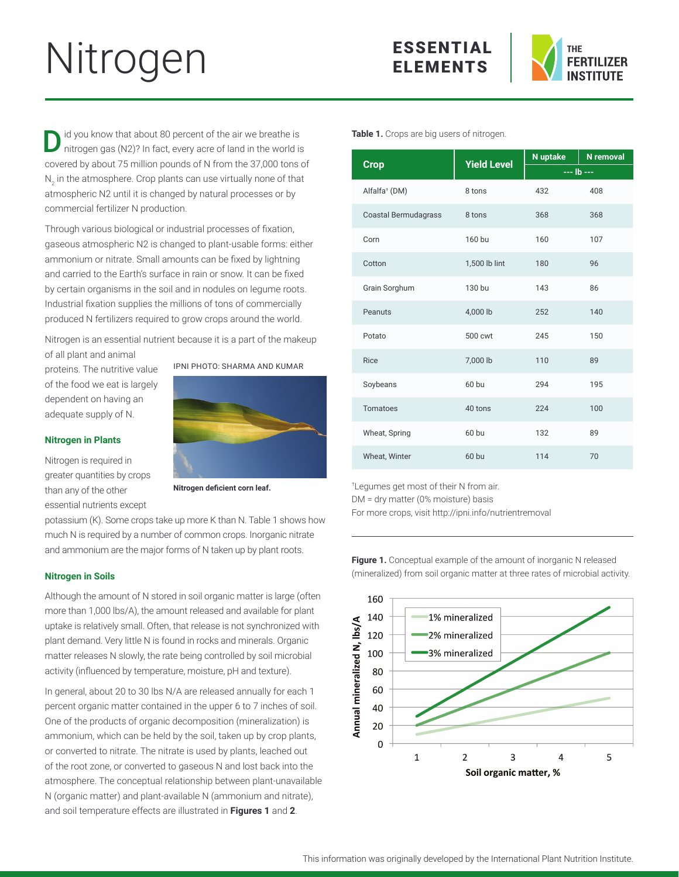# Nitrogen ESSENTIAL



id you know that about 80 percent of the air we breathe is nitrogen gas (N2)? In fact, every acre of land in the world is covered by about 75 million pounds of N from the 37,000 tons of  $\mathsf{N}_2$  in the atmosphere. Crop plants can use virtually none of that atmospheric N2 until it is changed by natural processes or by commercial fertilizer N production.

Through various biological or industrial processes of fixation, gaseous atmospheric N2 is changed to plant-usable forms: either ammonium or nitrate. Small amounts can be fixed by lightning and carried to the Earth's surface in rain or snow. It can be fixed by certain organisms in the soil and in nodules on legume roots. Industrial fixation supplies the millions of tons of commercially produced N fertilizers required to grow crops around the world.

Nitrogen is an essential nutrient because it is a part of the makeup of all plant and animal

proteins. The nutritive value of the food we eat is largely dependent on having an adequate supply of N.

# **Nitrogen in Plants**

Nitrogen is required in greater quantities by crops than any of the other essential nutrients except





**Nitrogen deficient corn leaf.**

potassium (K). Some crops take up more K than N. Table 1 shows how much N is required by a number of common crops. Inorganic nitrate and ammonium are the major forms of N taken up by plant roots.

## **Nitrogen in Soils**

Although the amount of N stored in soil organic matter is large (often more than 1,000 lbs/A), the amount released and available for plant uptake is relatively small. Often, that release is not synchronized with plant demand. Very little N is found in rocks and minerals. Organic matter releases N slowly, the rate being controlled by soil microbial activity (influenced by temperature, moisture, pH and texture).

In general, about 20 to 30 lbs N/A are released annually for each 1 percent organic matter contained in the upper 6 to 7 inches of soil. One of the products of organic decomposition (mineralization) is ammonium, which can be held by the soil, taken up by crop plants, or converted to nitrate. The nitrate is used by plants, leached out of the root zone, or converted to gaseous N and lost back into the atmosphere. The conceptual relationship between plant-unavailable N (organic matter) and plant-available N (ammonium and nitrate), and soil temperature effects are illustrated in **Figures 1** and **2**.

**Table 1.** Crops are big users of nitrogen.

| <b>Crop</b>                 | <b>Yield Level</b> | N uptake     | <b>N</b> removal |
|-----------------------------|--------------------|--------------|------------------|
|                             |                    | $--$ Ib $--$ |                  |
| Alfalfa <sup>+</sup> (DM)   | 8 tons             | 432          | 408              |
| <b>Coastal Bermudagrass</b> | 8 tons             | 368          | 368              |
| Corn                        | 160 bu             | 160          | 107              |
| Cotton                      | 1,500 lb lint      | 180          | 96               |
| Grain Sorghum               | 130 bu             | 143          | 86               |
| Peanuts                     | 4,000 lb           | 252          | 140              |
| Potato                      | 500 cwt            | 245          | 150              |
| Rice                        | 7,000 lb           | 110          | 89               |
| Soybeans                    | 60 bu              | 294          | 195              |
| Tomatoes                    | 40 tons            | 224          | 100              |
| Wheat, Spring               | 60 bu              | 132          | 89               |
| Wheat, Winter               | 60 bu              | 114          | 70               |

† Legumes get most of their N from air. DM = dry matter (0% moisture) basis

For more crops, visit http://ipni.info/nutrientremoval

**Figure 1.** Conceptual example of the amount of inorganic N released (mineralized) from soil organic matter at three rates of microbial activity.